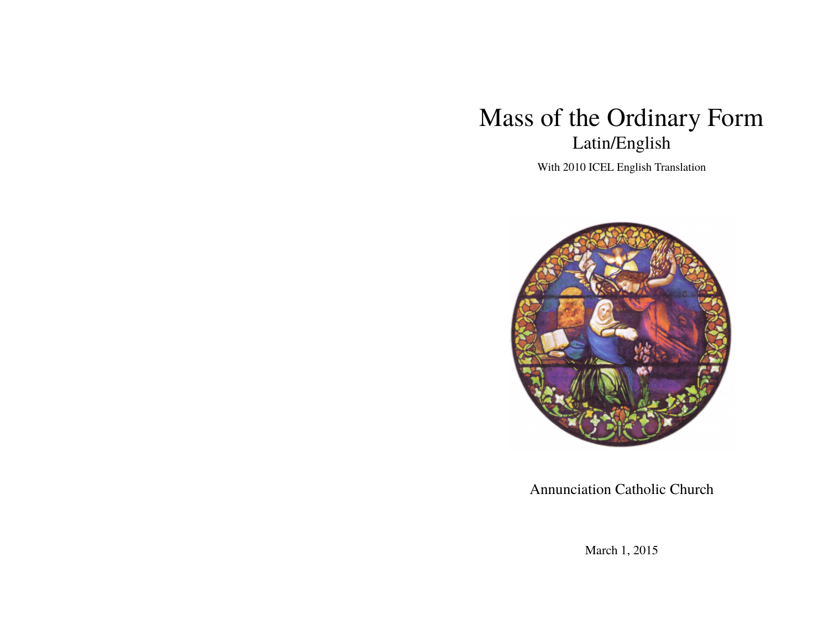# Mass of the Ordinary Form Latin/English

With 2010 ICEL English Translation



Annunciation Catholic Church

March 1, 2015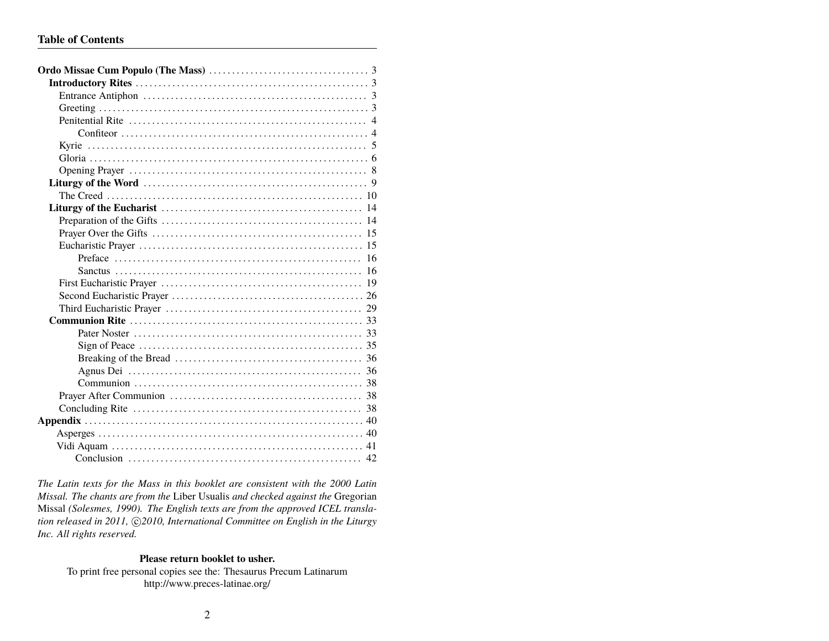*The Latin texts for the Mass in this booklet are consistent with the 2000 Latin Missal. The chants are from the* Liber Usualis *and checked against the* Gregorian Missal *(Solesmes, 1990). The English texts are from the approved ICEL transla*tion released in 2011,  $\bigcirc$  2010, International Committee on English in the Liturgy *Inc. All rights reserved.*

### **Please return booklet to usher.**

To print free personal copies see the: Thesaurus Precum Latinarum http://www.preces-latinae.org/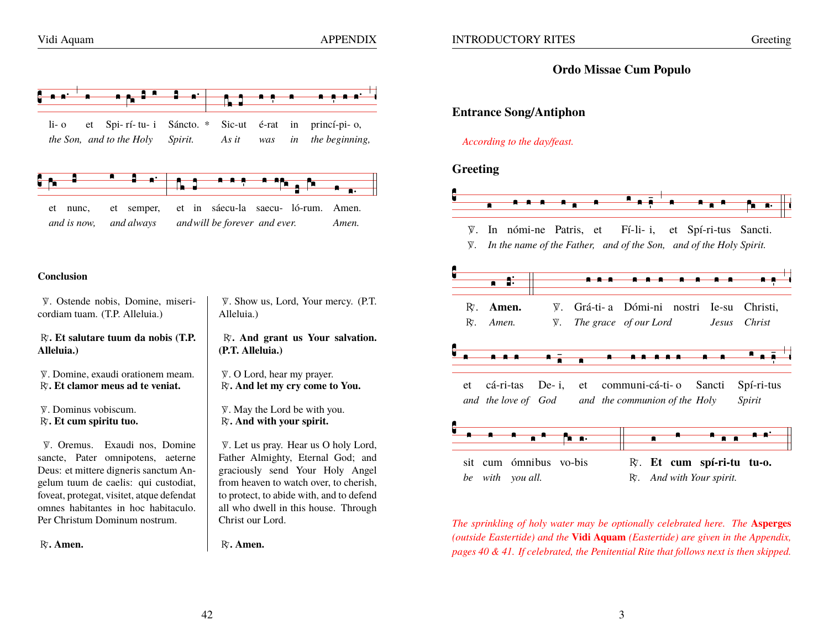$li-<sub>o</sub>$ 

princí-pi-o,

the beginning,

Amen.

Amen.

# **Ordo Missae Cum Populo**

# **Entrance Song/Antiphon**

# According to the day/feast.

# Greeting



V. In nómi-ne Patris, et  $F_1$ -li-i. et Spí-ri-tus Sancti.

 $\Psi$ . In the name of the Father, and of the Son, and of the Holy Spirit.



The sprinkling of holy water may be optionally celebrated here. The Asperges (outside Eastertide) and the Vidi Aquam (Eastertide) are given in the Appendix, pages 40 & 41. If celebrated, the Penitential Rite that follows next is then skipped.

### Conclusion

et nunc. and is now.

V. Ostende nobis. Domine, misericordiam tuam. (T.P. Alleluia.)

et Spi-rí-tu-i

et semper,

and always

the Son, and to the Holy

Sáncto. \*

Spirit.

Sic-ut

As it

é-rat

was

et in sáecu-la saecu- ló-rum.

and will be forever and ever.

in

 $in$ 

 $R<sub>i</sub>$ . Et salutare tuum da nobis (T.P. Alleluia.)

V. Domine, exaudi orationem meam. R. Et clamor meus ad te veniat.

V. Dominus vobiscum. R. Et cum spiritu tuo.

V. Oremus. Exaudi nos, Domine sancte, Pater omnipotens, aeterne Deus: et mittere digneris sanctum Angelum tuum de caelis: qui custodiat, foveat, protegat, visitet, atque defendat omnes habitantes in hoc habitaculo. Per Christum Dominum nostrum.

R. Amen.

V. Show us, Lord, Your mercy. (P.T. Alleluia.)

R. And grant us Your salvation. (P.T. Alleluia.)

V. O Lord, hear my prayer. R. And let my cry come to You.

V. May the Lord be with you. R. And with your spirit.

V. Let us pray. Hear us O holy Lord, Father Almighty, Eternal God; and graciously send Your Holy Angel from heaven to watch over, to cherish, to protect, to abide with, and to defend all who dwell in this house. Through Christ our Lord.

R. Amen.

42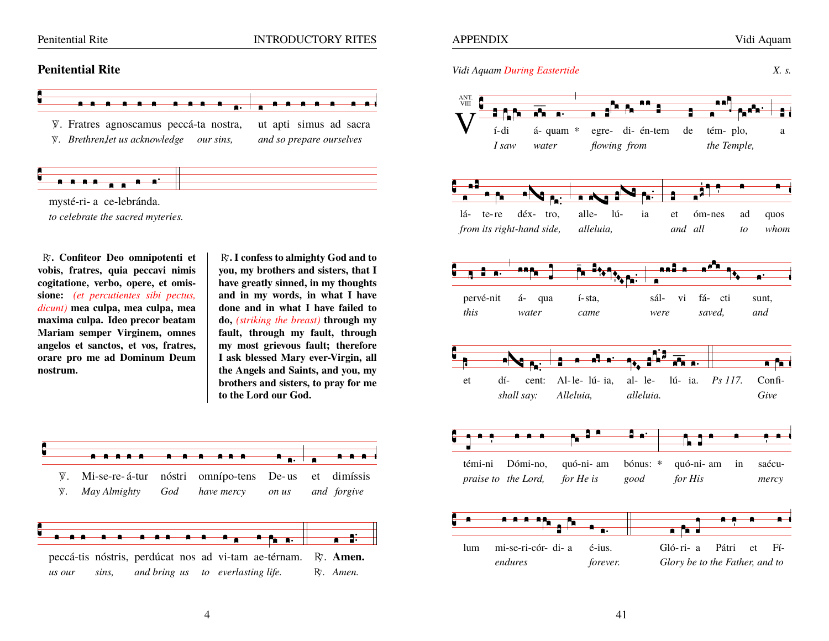#### Penitential Rite

# **INTRODUCTORY RITES**

# **Penitential Rite**



mysté-ri- a ce-lebránda. to celebrate the sacred myteries.

<del>. . . . . . .</del> .

R. Confiteor Deo omnipotenti et vobis, fratres, quia peccavi nimis cogitatione, verbo, opere, et omissione: (et percutientes sibi pectus, dicunt) mea culpa, mea culpa, mea maxima culpa. Ideo precor beatam Mariam semper Virginem, omnes angelos et sanctos, et vos, fratres, orare pro me ad Dominum Deum nostrum.

R. I confess to almighty God and to you, my brothers and sisters, that I have greatly sinned, in my thoughts and in my words, in what I have done and in what I have failed to do, *(striking the breast)* through my fault, through my fault, through my most grievous fault; therefore I ask blessed Mary ever-Virgin, all the Angels and Saints, and you, my brothers and sisters, to pray for me to the Lord our God.



 $X_{\cdot}$  s.

Vidi Aquam During Eastertide

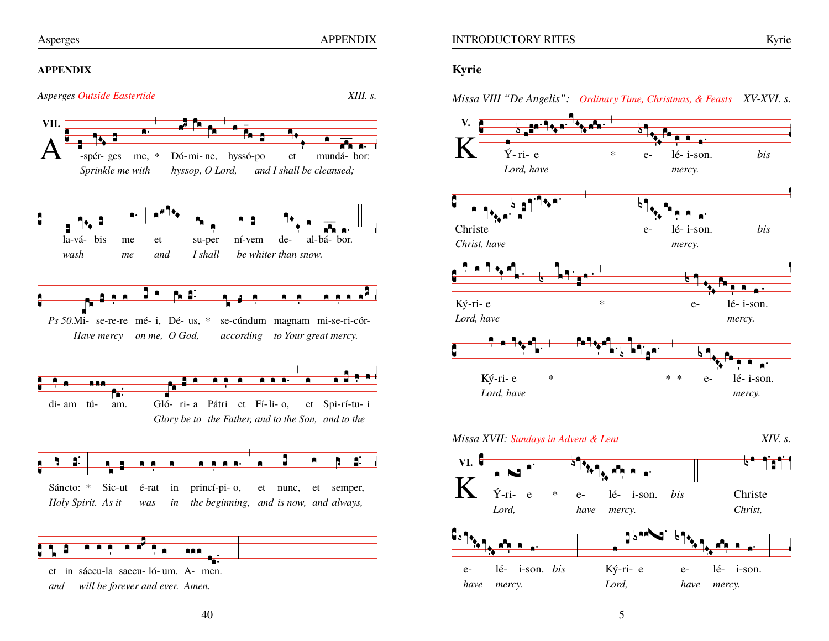**APPENDIX** 

#### **APPENDIX**



# Kyrie

Missa VIII "De Angelis": Ordinary Time, Christmas, & Feasts XV-XVI. s.

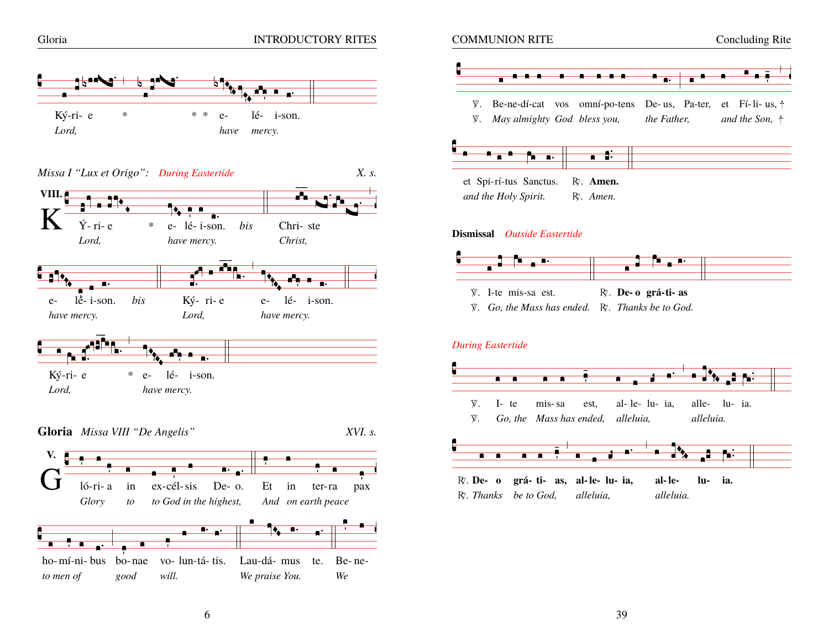



#### Dismissal Outside Eastertide



W. I-te mis-sa est. R. De-o grá-ti- as

 $\Psi$ . Go, the Mass has ended.  $R$ . Thanks be to God.

### **During Eastertide**

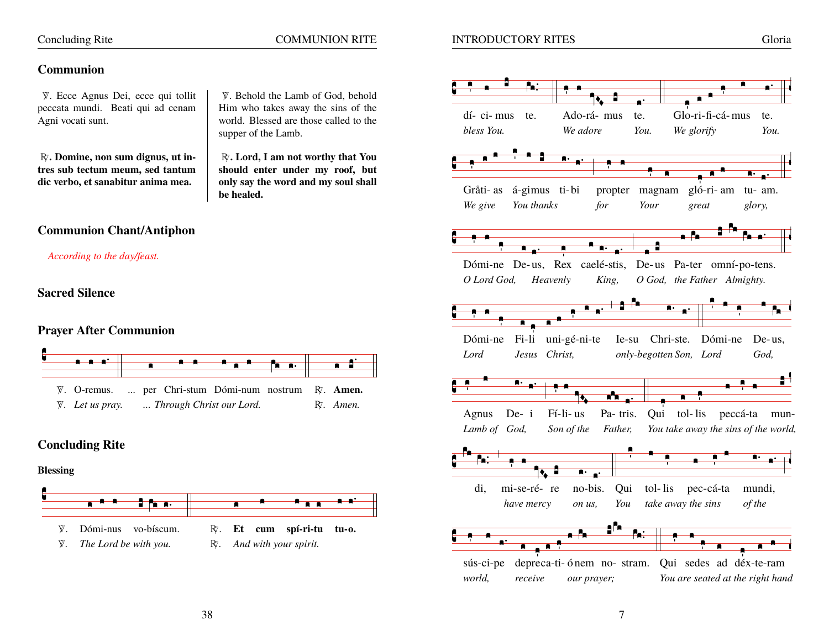# **Concluding Rite**

# **COMMUNION RITE**

V. Behold the Lamb of God, behold

Him who takes away the sins of the

world. Blessed are those called to the

R. Lord, I am not worthy that You

supper of the Lamb.

# **Communion**

V. Ecce Agnus Dei, ecce qui tollit peccata mundi. Beati qui ad cenam Agni vocati sunt.

R. Domine, non sum dignus, ut intres sub tectum meum, sed tantum dic verbo, et sanabitur anima mea.

should enter under my roof, but only say the word and my soul shall be healed.

# **Communion Chant/Antiphon**

According to the day/feast.

**Sacred Silence** 

# **Praver After Communion**



# **Concluding Rite**

### **Blessing**



38

- The Lord be with you. R.
- And with your spirit.

# **INTRODUCTORY RITES**

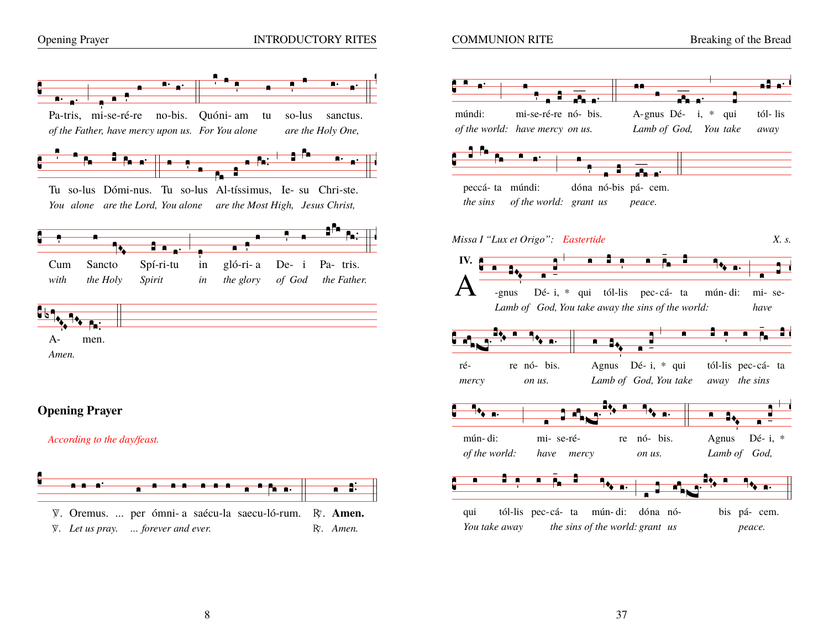

Ŧв

**I** 

Sancto

the Holy



so-lus

 $De- i$ 

of God

sanctus.

Pa- tris.

the Father.

are the Holy One,

tu





# **Opening Prayer**

men.

Cum

with

 $A-$ 

Amen.

According to the day/feast.



Tu so-lus Dómi-nus. Tu so-lus Al-tíssimus, Ie- su Chri-ste.

You alone are the Lord, You alone are the Most High, Jesus Christ,

in

in

 $\blacksquare$ 

gló-ri-a

the glory

1 A ..

Spí-ri-tu

Spirit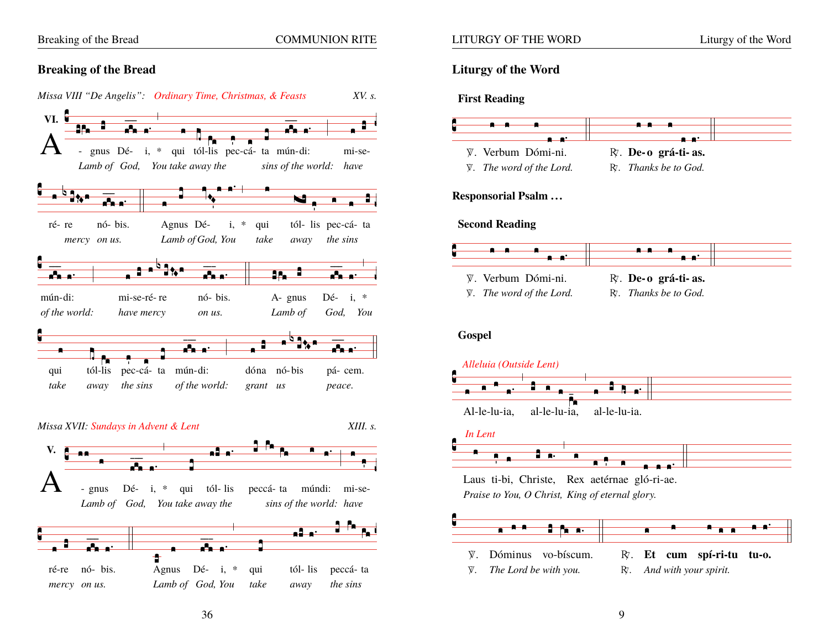**COMMUNION RITE** 

# **Breaking of the Bread**



36

# **Liturgy of the Word**

### **First Reading**



# **Responsorial Psalm...**

### **Second Reading**



# **Gospel**







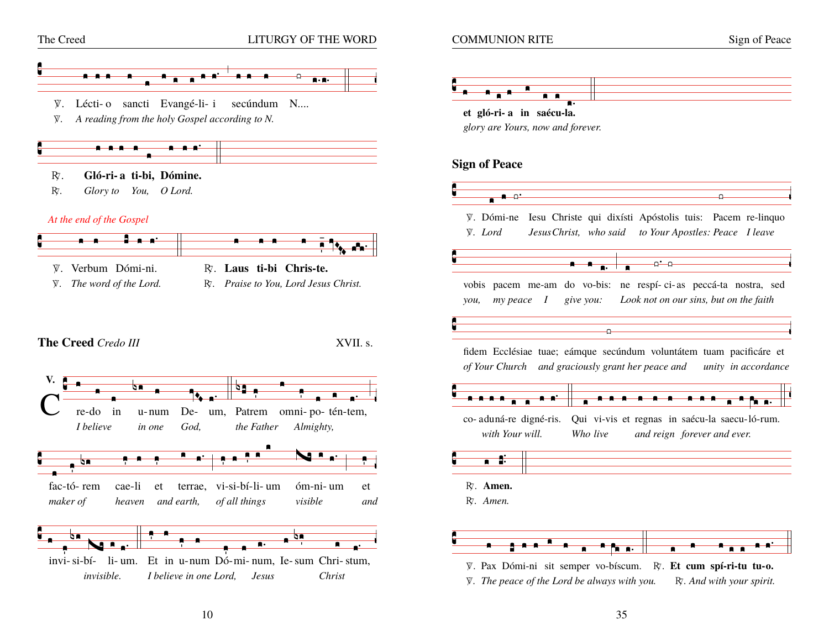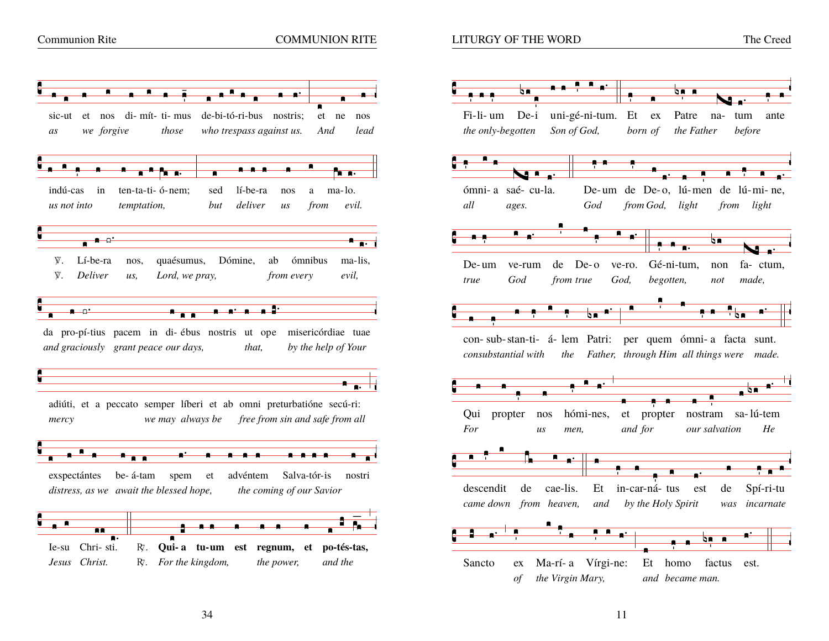

### **LITURGY OF THE WORD**

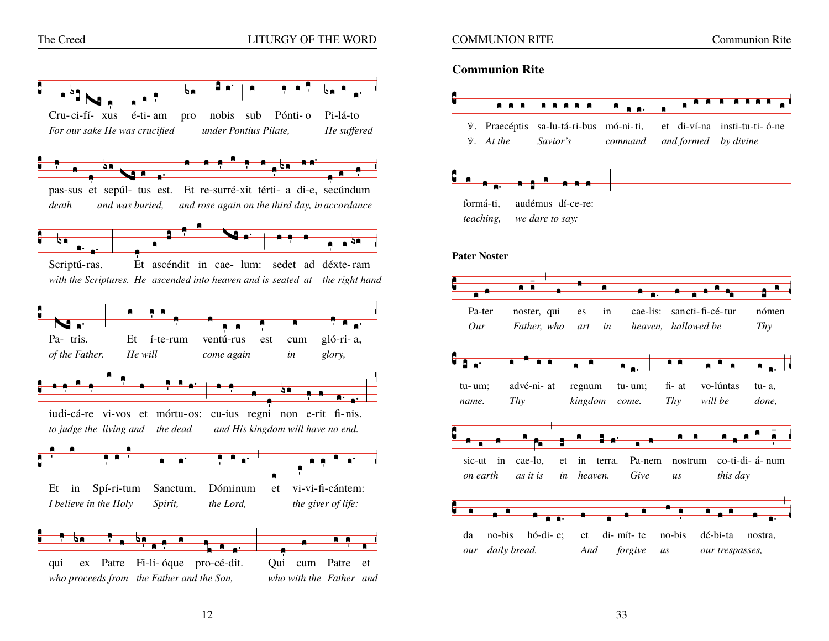

### **COMMUNION RITE**

**Communion Rite** 

### **Communion Rite**



teaching, we dare to say:

#### **Pater Noster**

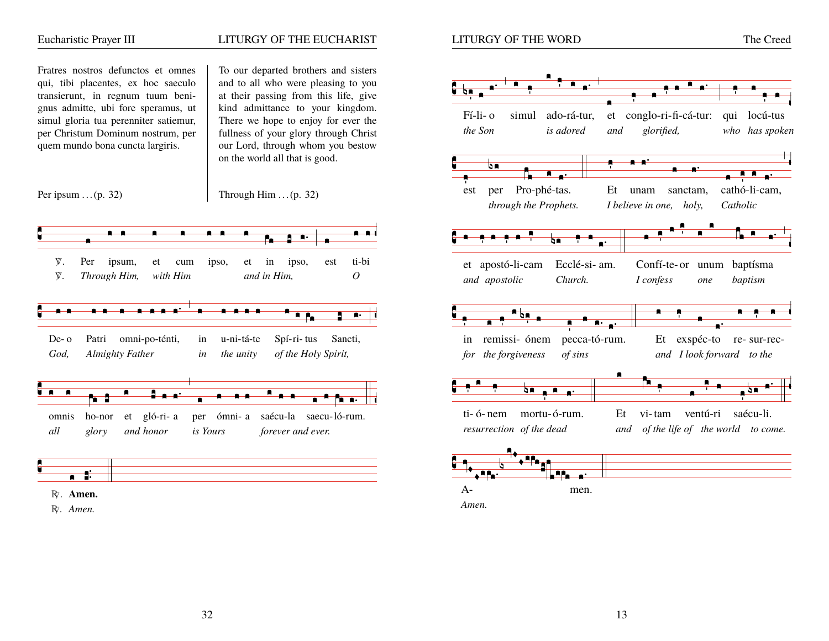

R. Amen.

32

13

The Creed

 $\overline{\bullet}$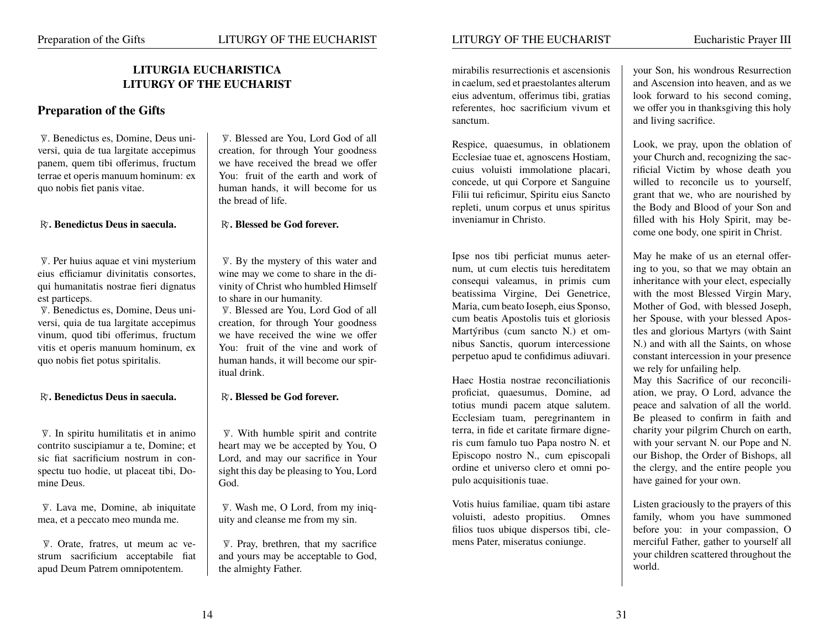# **LITURGIA EUCHARISTICA LITURGY OF THE EUCHARIST**

# **Preparation of the Gifts**

 $\Psi$ . Benedictus es, Domine, Deus uni-<br>  $\Psi$ . Blessed are You, Lord God of all<br>  $\Psi$ . Blessed are You, Lord God of all<br>  $\Psi$ . Blessed are You, Lord God of all versi, quia de tua largitate accepimus panem, quem tibi offerimus, fructum  $\parallel$  we have received the bread we offer terrae et operis manuum hominum: ex You: fruit of the earth and work of quo nobis fiet panis vitae. human hands, it will become for us

#### A**. Benedictus Deus in saecula.** A**. Blessed be God forever.**

eius efficiamur divinitatis consortes, wine may we come to share in the diqui humanitatis nostrae fieri dignatus vinity of Christ who humbled Himself est particeps.<br>  $\nabla$ . Benedictus es. Domine. Deus uni-<br>  $\nabla$ . Bessed are You. Lot

versi, quia de tua largitate accepimus creation, for through Your goodness vinum, quod tibi offerimus, fructum  $\parallel$  we have received the wine we offer vitis et operis manuum hominum, ex <br>quo nobis fiet potus spiritalis.<br>human hands, it will become our spir-

#### A**. Benedictus Deus in saecula.** A**. Blessed be God forever.**

 $\mathbb{V}$ . In spiritu humilitatis et in animo  $\qquad$   $\mathbb{V}$ . With humble spirit and contrite spirit and contrite spirit and contribution suscipiamur a te, Domine; et heart may we be accepted by You, O contrito suscipiamur a te, Domine; et sic fiat sacrificium nostrum in con- Lord, and may our sacrifice in Your spectu tuo hodie, ut placeat tibi, Do- $\vert$  sight this day be pleasing to You, Lord mine Deus. God.

 $W$ . Lava me, Domine, ab iniquitate  $W$ . Wash me, O Lord, from my iniqued, et a peccato meo munda me. mea, et a peccato meo munda me.

 $\mathbb{V}$ . Orate, fratres, ut meum ac ve-  $\mathbb{V}$ . Pray, brethren, that my sacrifice strum sacrificium acceptabile fiat  $\parallel$  and yours may be acceptable to God, apud Deum Patrem omnipotentem. <br>  $\vert$  the almighty Father.

the bread of life.

 $\mathbb{V}$ . Per huius aquae et vini mysterium  $\mathbb{V}$ . By the mystery of this water and

 $V.$  Blessed are You, Lord God of all human hands, it will become our spiritual drink.

eius adventum, offerimus tibi, gratias  $\parallel$  look forward to his second coming, sanctum. and living sacrifice.

Ecclesiae tuae et, agnoscens Hostiam, your Church and, recognizing the sac-<br>cuius voluisti immolatione placari, rificial Victim by whose death you concede, ut qui Corpore et Sanguine <br>Filii tui reficimur, Spiritu eius Sancto <br>Tui grant that we, who are nourished by repleti, unum corpus et unus spiritus the Body and Blood of your Son and inveniamur in Christo. **filled** with his Holy Spirit, may be-

num, ut cum electis tuis hereditatem  $\parallel$  ing to you, so that we may obtain an consequi valeamus, in primis cum inheritance with your elect, especially beatissima Virgine, Dei Genetrice, with the most Blessed Virgin Mary, Maria, cum beato Ioseph, eius Sponso, Mother of God, with blessed Joseph, cum beatis Apostolis tuis et gloriosis her Spouse, with your blessed Apos-<br>Martýribus (cum sancto N.) et om-<br>les and glorious Martyrs (with Saint nibus Sanctis, quorum intercessione  $\parallel$  N.) and with all the Saints, on whose perpetuo apud te confidimus adiuvari. constant intercession in your presence

Haec Hostia nostrae reconciliationis | May this Sacrifice of our reconciliproficiat, quaesumus, Domine, ad  $\parallel$  ation, we pray, O Lord, advance the totius mundi pacem atque salutem. peace and salvation of all the world. Ecclesiam tuam, peregrinantem in Be pleased to confirm in faith and terra, in fide et caritate firmare digne- charity your pilgrim Church on earth, ris cum famulo tuo Papa nostro N. et  $\parallel$  with your servant N. our Pope and N. Episcopo nostro N., cum episcopali our Bishop, the Order of Bishops, all ordine et universo clero et omni populo acquisitionis tuae. have gained for your own.

Votis huius familiae, quam tibi astare  $\parallel$  Listen graciously to the prayers of this voluisti, adesto propitius. Omnes family, whom you have summoned filios tuos ubique dispersos tibi, cle- before you: in your compassion, O mens Pater, miseratus coniunge. merciful Father, gather to yourself all

mirabilis resurrectionis et ascensionis vour Son, his wondrous Resurrection in caelum, sed et praestolantes alterum  $\parallel$  and Ascension into heaven, and as we referentes, hoc sacrificium vivum et  $\parallel$  we offer you in thanksgiving this holy

Respice, quaesumus, in oblationem  $\vert$  Look, we pray, upon the oblation of rificial Victim by whose death you grant that we, who are nourished by come one body, one spirit in Christ.

Ipse nos tibi perficiat munus aeter- | May he make of us an eternal offertles and glorious Martyrs (with Saint we rely for unfailing help.

the clergy, and the entire people you

your children scattered throughout the world.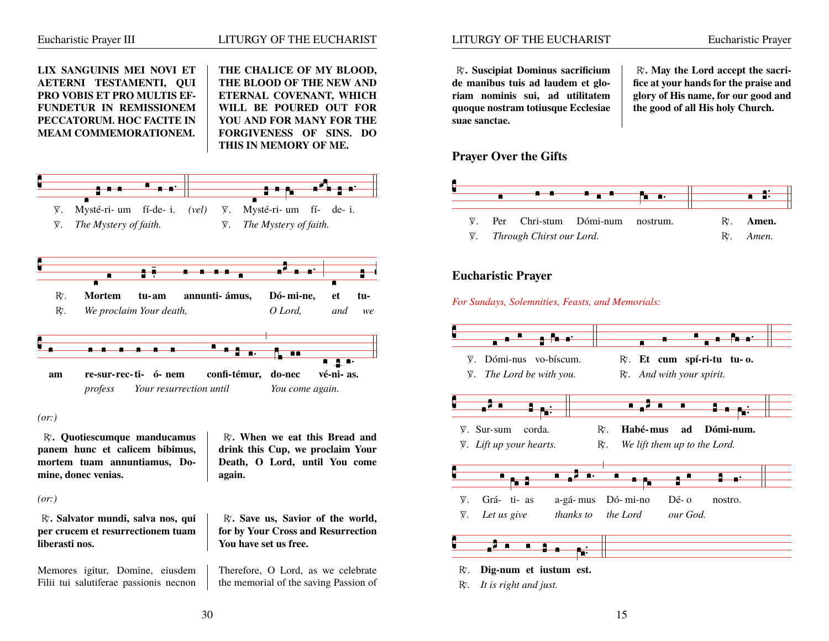

 $(or.)$ 

R. Salvator mundi, salva nos, qui per crucem et resurrectionem tuam liberasti nos.

Memores igitur, Domine, eiusdem Filii tui salutiferae passionis necnon again.

R. Save us. Savior of the world. for by Your Cross and Resurrection You have set us free.

Therefore, O Lord, as we celebrate the memorial of the saving Passion of **Eucharistic Prayer** 

R. Suscipiat Dominus sacrificium de manibus tuis ad laudem et gloriam nominis sui, ad utilitatem quoque nostram totiusque Ecclesiae suae sanctae.

 $R<sub>i</sub>$ . May the Lord accept the sacrifice at your hands for the praise and glory of His name, for our good and the good of all His holy Church.

# **Prayer Over the Gifts**



# **Eucharistic Prayer**

For Sundays, Solemnities, Feasts, and Memorials:



 $R$ . It is right and just.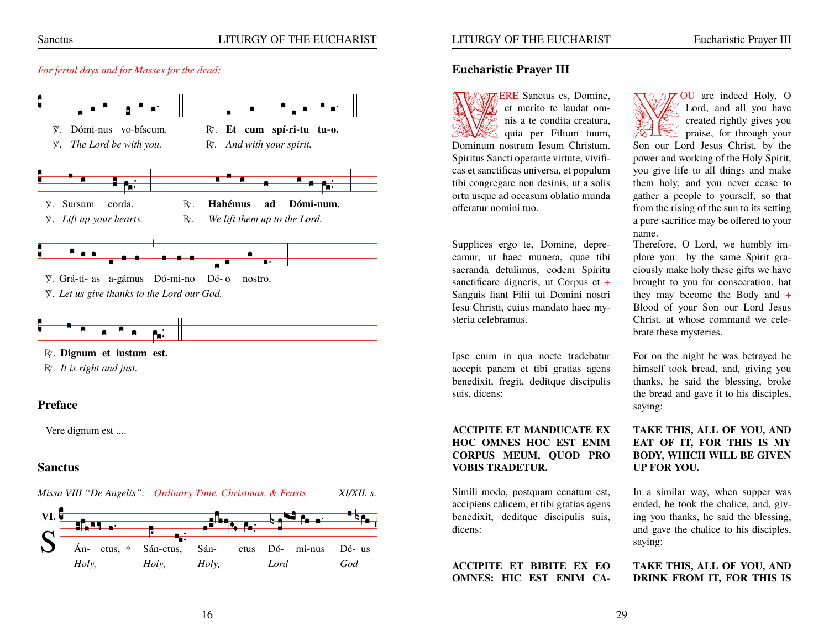# LITURGY OF THE EUCHARIST

#### For ferial days and for Masses for the dead:



### **Sanctus**

Missa VIII "De Angelis": Ordinary Time, Christmas, & Feasts XI/XII. s.



# **Eucharistic Prayer III**

**ERE** Sanctus es. Domine. et merito te laudat omnis a te condita creatura, quia per Filium tuum, Dominum nostrum Iesum Christum. Spiritus Sancti operante virtute, vivificas et sanctificas universa, et populum tibi congregare non desinis, ut a solis ortu usque ad occasum oblatio munda offeratur nomini tuo.

LITURGY OF THE EUCHARIST

Supplices ergo te, Domine, deprecamur, ut haec munera, quae tibi sacranda detulimus, eodem Spiritu sanctificare digneris, ut Corpus et  $+$ Sanguis fiant Filii tui Domini nostri Iesu Christi, cuius mandato haec mysteria celebramus.

Ipse enim in qua nocte tradebatur accepit panem et tibi gratias agens benedixit, fregit, deditque discipulis suis, dicens:

### **ACCIPITE ET MANDUCATE EX** HOC OMNES HOC EST ENIM CORPUS MEUM, OUOD PRO **VORIS TRADETIIR.**

Simili modo, postquam cenatum est, accipiens calicem, et tibi gratias agens benedixit, deditque discipulis suis, dicens:

**ACCIPITE ET BIBITE EX EO OMNES: HIC EST ENIM CA-**

OU are indeed Holy, O Lord, and all you have created rightly gives you praise, for through your Son our Lord Jesus Christ, by the power and working of the Holy Spirit, you give life to all things and make them holy, and you never cease to gather a people to yourself, so that from the rising of the sun to its setting a pure sacrifice may be offered to your name.

Therefore, O Lord, we humbly implore you: by the same Spirit graciously make holy these gifts we have brought to you for consecration, hat they may become the Body and  $+$ Blood of your Son our Lord Jesus Christ, at whose command we celebrate these mysteries.

For on the night he was betrayed he himself took bread, and, giving you thanks, he said the blessing, broke the bread and gave it to his disciples, saying:

## TAKE THIS, ALL OF YOU, AND EAT OF IT, FOR THIS IS MY **BODY. WHICH WILL BE GIVEN UP FOR YOU.**

In a similar way, when supper was ended, he took the chalice, and, giving you thanks, he said the blessing, and gave the chalice to his disciples, saying:

TAKE THIS, ALL OF YOU, AND DRINK FROM IT, FOR THIS IS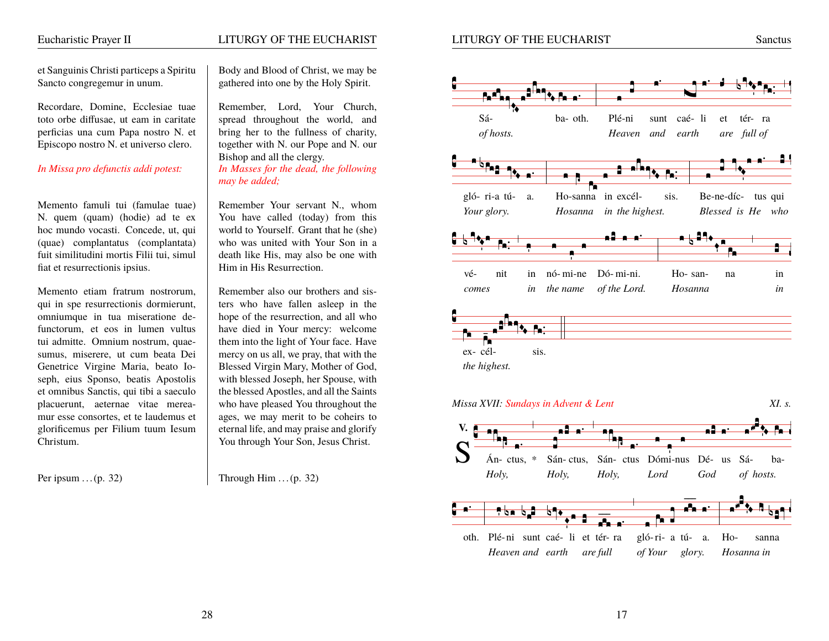# Eucharistic Prayer II LITURGY OF THE EUCHARIST

LITURGY OF THE EUCHARIST Sanctus

et Sanguinis Christi particeps a Spiritu Body and Blood of Christ, we may be Sancto congregemur in unum. <br> gathered into one by the Holy Spirit.

Memento famuli tui (famulae tuae) Remember Your servant N., whom N. quem (quam) (hodie) ad te ex You have called (today) from this hoc mundo vocasti. Concede, ut, qui world to Yourself. Grant that he (she) (quae) complantatus (complantata) who was united with Your Son in a fuit similitudini mortis Filii tui, simul death like His, may also be one with fiat et resurrectionis ipsius. Him in His Resurrection.

Memento etiam fratrum nostrorum, Remember also our brothers and sisqui in spe resurrectionis dormierunt, ters who have fallen asleep in the omniumque in tua miseratione de- hope of the resurrection, and all who functorum, et eos in lumen vultus have died in Your mercy: welcome tui admitte. Omnium nostrum, quae- them into the light of Your face. Have sumus, miserere, ut cum beata Dei mercy on us all, we pray, that with the Genetrice Virgine Maria, beato Io- Blessed Virgin Mary, Mother of God, seph, eius Sponso, beatis Apostolis with blessed Joseph, her Spouse, with et omnibus Sanctis, qui tibi a saeculo the blessed Apostles, and all the Saints placuerunt, aeternae vitae merea- who have pleased You throughout the mur esse consortes, et te laudemus et  $\parallel$  ages, we may merit to be coheirs to glorificemus per Filium tuum Iesum eternal life, and may praise and glorify Christum. You through Your Son, Jesus Christ.

Recordare, Domine, Ecclesiae tuae Remember, Lord, Your Church, toto orbe diffusae, ut eam in caritate spread throughout the world, and perficias una cum Papa nostro N. et  $\parallel$  bring her to the fullness of charity, Episcopo nostro N. et universo clero. together with N. our Pope and N. our Bishop and all the clergy. *In Missa pro defunctis addi potest: In Masses for the dead, the following may be added;*

Per ipsum  $\ldots$  (p. 32) Through Him  $\ldots$  (p. 32)



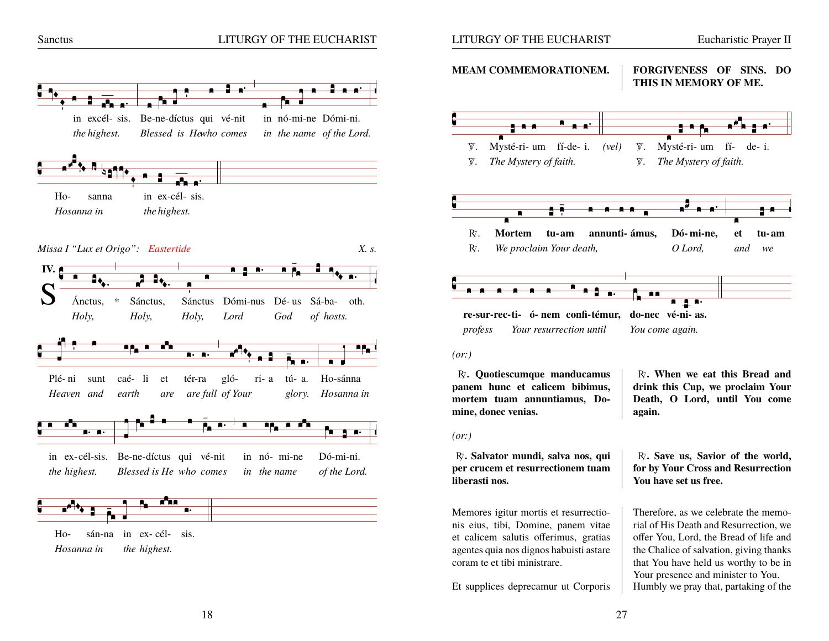

Hosanna in the highest.

LITURGY OF THE EUCHARIST

**MEAM COMMEMORATIONEM. FORGIVENESS OF SINS. DO** THIS IN MEMORY OF ME.



 $(or.)$ 

R. Ouotiescumque manducamus panem hunc et calicem bibimus, mortem tuam annuntiamus, Domine, donec venias.

R. Salvator mundi, salva nos, qui per crucem et resurrectionem tuam liberasti nos.

Memores igitur mortis et resurrectionis eius, tibi, Domine, panem vitae et calicem salutis offerimus, gratias agentes quia nos dignos habuisti astare coram te et tibi ministrare.

Et supplices deprecamur ut Corporis

R. When we eat this Bread and drink this Cup, we proclaim Your Death, O Lord, until You come again.

R. Save us, Savior of the world, for by Your Cross and Resurrection You have set us free.

Therefore, as we celebrate the memorial of His Death and Resurrection, we offer You, Lord, the Bread of life and the Chalice of salvation, giving thanks that You have held us worthy to be in Your presence and minister to You. Humbly we pray that, partaking of the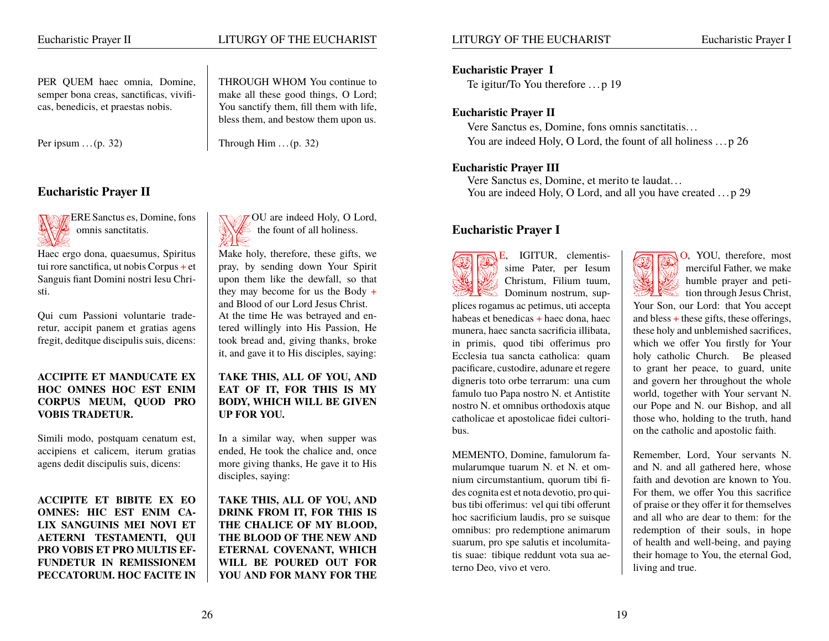**Eucharistic Prayer II**

Haec ergo dona, quaesumus, Spiritus Make holy, therefore, these gifts, we

# **ACCIPITE ET MANDUCATE EX TAKE THIS, ALL OF YOU, AND HOC OMNES HOC EST ENIM EAT OF IT, FOR THIS IS MY CORPUS MEUM, QUOD PRO BODY, WHICH WILL BE GIVEN VOBIS TRADETUR. UP FOR YOU.**

Simili modo, postquam cenatum est, In a similar way, when supper was  $\alpha$  accipiens et calicem, iterum gratias  $\alpha$  ended, He took the chalice and, once agens dedit discipulis suis, dicens: more giving thanks, He gave it to His

**ACCIPITE ET BIBITE EX EO TAKE THIS, ALL OF YOU, AND OMNES: HIC EST ENIM CA- DRINK FROM IT, FOR THIS IS LIX SANGUINIS MEI NOVI ET THE CHALICE OF MY BLOOD, AETERNI TESTAMENTI, QUI THE BLOOD OF THE NEW AND PRO VOBIS ET PRO MULTIS EF- ETERNAL COVENANT, WHICH** FUNDETUR IN REMISSIONEM | WILL BE POURED OUT FOR **PECCATORUM. HOC FACITE IN YOU AND FOR MANY FOR THE**

# Eucharistic Prayer II LITURGY OF THE EUCHARIST

PER QUEM haec omnia, Domine, THROUGH WHOM You continue to semper bona creas, sanctificas, vivifi- make all these good things, O Lord; cas, benedicis, et praestas nobis. You sanctify them, fill them with life, bless them, and bestow them upon us.

Per ipsum  $\ldots$  (p. 32) Through Him  $\ldots$  (p. 32)

VERE Sanctus es, Domine, fons VOU are indeed Holy, O Lord, omnis sanctitatis.  $\mathbb{W}$  the fount of all holiness.

tui rore sanctifica, ut nobis Corpus + et  $\parallel$  pray, by sending down Your Spirit Sanguis fiant Domini nostri Iesu Chri- upon them like the dewfall, so that sti. they may become for us the Body + and Blood of our Lord Jesus Christ. Qui cum Passioni voluntarie trade- At the time He was betrayed and enretur, accipit panem et gratias agens tered willingly into His Passion, He fregit, deditque discipulis suis, dicens: took bread and, giving thanks, broke it, and gave it to His disciples, saying:

disciples, saying:

# **Eucharistic Prayer I**

Te igitur/To You therefore .. . p 19

# **Eucharistic Prayer II**

Vere Sanctus es, Domine, fons omnis sanctitatis. . . You are indeed Holy, O Lord, the fount of all holiness . . . p 26

# **Eucharistic Prayer III**

Vere Sanctus es, Domine, et merito te laudat. . . You are indeed Holy, O Lord, and all you have created ... p 29

# **Eucharistic Prayer I**

E, IGITUR, clementis-<br>
Sime Pater, per Iesum<br>
Christum, Filium tuum,<br>
Dominum nostrum, sup-<br>
The sime payer and peti-<br>
tion through Jesus Christ, plices rogamus ac petimus, uti accepta  $\parallel$  Your Son, our Lord: that You accept habeas et benedicas + haec dona, haec  $\parallel$  and bless + these gifts, these offerings, munera, haec sancta sacrificia illibata,  $\parallel$  these holy and unblemished sacrifices, in primis, quod tibi offerimus pro  $\vert$  which we offer You firstly for Your Ecclesia tua sancta catholica: quam | holy catholic Church. Be pleased pacificare, custodire, adunare et regere  $\parallel$  to grant her peace, to guard, unite digneris toto orbe terrarum: una cum  $\parallel$  and govern her throughout the whole famulo tuo Papa nostro N. et Antistite world, together with Your servant N. nostro N. et omnibus orthodoxis atque  $\parallel$  our Pope and N. our Bishop, and all catholicae et apostolicae fidei cultori- those who, holding to the truth, hand bus.  $\parallel$  on the catholic and apostolic faith.

MEMENTO, Domine, famulorum fa- Remember, Lord, Your servants N. mularumque tuarum N. et N. et om-<br>and N. and all gathered here, whose nium circumstantium, quorum tibi fi- faith and devotion are known to You. des cognita est et nota devotio, pro qui- For them, we offer You this sacrifice bus tibi offerimus: vel qui tibi offerunt  $\parallel$  of praise or they offer it for themselves hoc sacrificium laudis, pro se suisque  $\parallel$  and all who are dear to them: for the omnibus: pro redemptione animarum redemption of their souls, in hope suarum, pro spe salutis et incolumita- of health and well-being, and paying tis suae: tibique reddunt vota sua ae- their homage to You, the eternal God, terno Deo, vivo et vero. living and true.

sime Pater, per Iesum  $\|\mathcal{H}\|$  merciful Father, we make Christum, Filium tuum,  $\mathbb{R}$   $\mathbb{R}$   $\mathbb{R}$  humble prayer and peti-Dominum nostrum, sup-  $\frac{1}{2}$   $\frac{1}{2}$  tion through Jesus Christ,

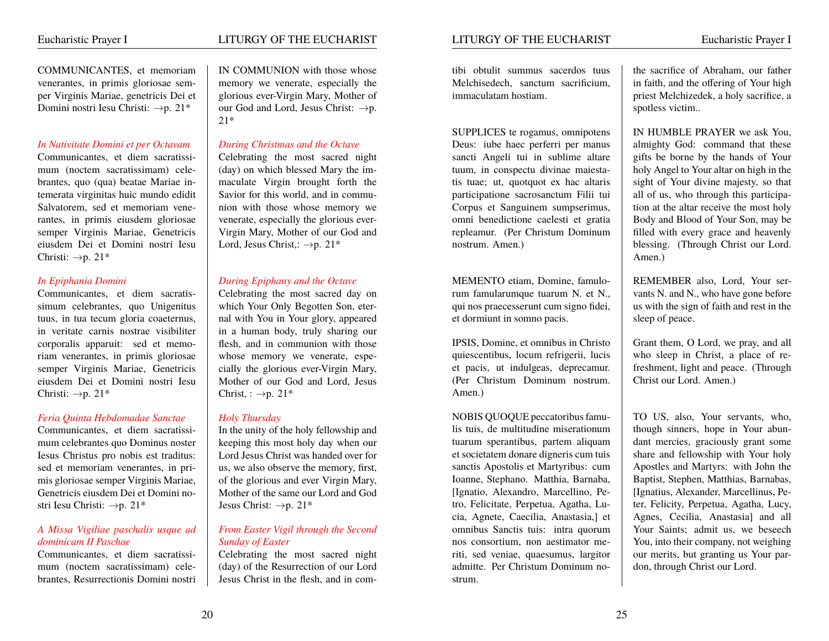# Eucharistic Prayer I LITURGY OF THE EUCHARIST

# *In Nativitate Domini et per Octavam During Christmas and the Octave*

mum (noctem sacratissimam) cele-  $\vert$  (day) on which blessed Mary the imbrantes, quo (qua) beatae Mariae in- maculate Virgin brought forth the temerata virginitas huic mundo edidit  $\parallel$  Savior for this world, and in commu-Salvatorem, sed et memoriam vene- nion with those whose memory we rantes, in primis eiusdem gloriosae venerate, especially the glorious eversemper Virginis Mariae, Genetricis Virgin Mary, Mother of our God and eiusdem Dei et Domini nostri Iesu | Lord, Jesus Christ,:  $\rightarrow p$ . 21\* Christi:  $\rightarrow p$ . 21\*

Communicantes, et diem sacratis- Celebrating the most sacred day on simum celebrantes, quo Unigenitus which Your Only Begotten Son, etertuus, in tua tecum gloria coaeternus, nal with You in Your glory, appeared in veritate carnis nostrae visibiliter  $\parallel$  in a human body, truly sharing our corporalis apparuit: sed et memo-<br>riam venerantes, in primis gloriosae<br>whose memory we venerate, espesemper Virginis Mariae, Genetricis  $\parallel$  cially the glorious ever-Virgin Mary, eiusdem Dei et Domini nostri Iesu | Mother of our God and Lord, Jesus Christi:  $\rightarrow$ p. 21\* Christ, :  $\rightarrow$ p. 21\*

### *Feria Quinta Hebdomadae Sanctae Holy Thursday*

mum celebrantes quo Dominus noster Iesus Christus pro nobis est traditus: <br>
Lord Jesus Christ was handed over for<br>
sed et memoriam venerantes, in pri-<br>
us, we also observe the memory, first, mis gloriosae semper Virginis Mariae,  $\parallel$  of the glorious and ever Virgin Mary, Genetricis eiusdem Dei et Domini no- Mother of the same our Lord and God stri Iesu Christi:  $\rightarrow p$ . 21\* Jesus Christ:  $\rightarrow p$ . 21\*

### *A Missa Vigiliae paschalis usque ad From Easter Vigil through the Second dominicam II Paschae Sunday of Easter*

brantes, Resurrectionis Domini nostri Jesus Christ in the flesh, and in com-

COMMUNICANTES, et memoriam IN COMMUNION with those whose venerantes, in primis gloriosae sem- memory we venerate, especially the per Virginis Mariae, genetricis Dei et glorious ever-Virgin Mary, Mother of Domini nostri Iesu Christi:  $\rightarrow p$ . 21\* our God and Lord, Jesus Christ:  $\rightarrow p$ . 21\*

Communicantes, et diem sacratissi- Celebrating the most sacred night

# *In Epiphania Domini During Epiphany and the Octave*

whose memory we venerate, espe-

Communicantes, et diem sacratissi-<br>
In the unity of the holy fellowship and<br>
In the unity of the holy fellowship and<br>
Reeping this most holy day when our us, we also observe the memory, first,

Communicantes, et diem sacratissi- Celebrating the most sacred night mum (noctem sacratissimam) cele- (day) of the Resurrection of our Lord

SUPPLICES te rogamus, omnipotens IN HUMBLE PRAYER we ask You, Deus: iube haec perferri per manus almighty God: command that these sancti Angeli tui in sublime altare gifts be borne by the hands of Your tuum, in conspectu divinae maiesta- holy Angel to Your altar on high in the tis tuae; ut, quotquot ex hac altaris sight of Your divine majesty, so that participatione sacrosanctum Filii tui all of us, who through this participa-Corpus et Sanguinem sumpserimus,<br>
omni benedictione caelesti et gratia Body and Blood of Your Son, may be repleamur. (Per Christum Dominum filled with every grace and heavenly nostrum. Amen.) blessing. (Through Christ our Lord.

MEMENTO etiam, Domine, famulo- REMEMBER also, Lord, Your serrum famularumque tuarum N. et N.,  $\parallel$  vants N. and N., who have gone before qui nos praecesserunt cum signo fidei, us with the sign of faith and rest in the et dormiunt in somno pacis. Sleep of peace.

IPSIS, Domine, et omnibus in Christo Grant them, O Lord, we pray, and all quiescentibus, locum refrigerii, lucis who sleep in Christ, a place of reet pacis, ut indulgeas, deprecamur. freshment, light and peace. (Through (Per Christum Dominum nostrum. | Christ our Lord. Amen.) Amen.)

NOBIS QUOQUE peccatoribus famu- TO US, also, Your servants, who, lis tuis, de multitudine miserationum  $\parallel$  though sinners, hope in Your abuntuarum sperantibus, partem aliquam  $\parallel$  dant mercies, graciously grant some et societatem donare digneris cum tuis share and fellowship with Your holy sanctis Apostolis et Martyribus: cum | Apostles and Martyrs: with John the Ioanne, Stephano. Matthia, Barnaba, Baptist, Stephen, Matthias, Barnabas, [Ignatio, Alexandro, Marcellino, Pe- [Ignatius, Alexander, Marcellinus, Petro, Felicitate, Perpetua, Agatha, Lu- ter, Felicity, Perpetua, Agatha, Lucy, cia, Agnete, Caecilia, Anastasia, et | Agnes, Cecilia, Anastasia and all omnibus Sanctis tuis: intra quorum | Your Saints; admit us, we beseech nos consortium, non aestimator me- You, into their company, not weighing riti, sed veniae, quaesumus, largitor  $\parallel$  our merits, but granting us Your paradmitte. Per Christum Dominum no- don, through Christ our Lord. strum.

tibi obtulit summus sacerdos tuus the sacrifice of Abraham, our father Melchisedech, sanctum sacrificium, in faith, and the offering of Your high immaculatam hostiam. priest Melchizedek, a holy sacrifice, a spotless victim..

> all of us, who through this participa-Body and Blood of Your Son, may be Amen.)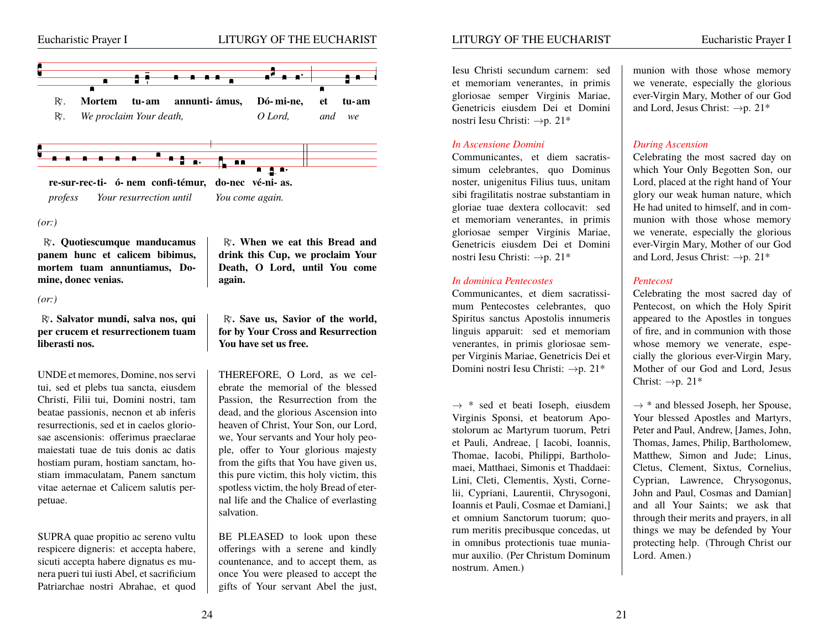

#### *(or:)*

R<sub>i</sub>. Quotiescumque manducamus R<sub>i</sub>. When we eat this Bread and panem hunc et calicem bibimus, drink this Cup, we proclaim Your **mortem tuam annuntiamus, Do- Death, O Lord, until You come mine, donec venias. again.**

#### *(or:)*

R<sub>7</sub>. Salvator mundi, salva nos, qui | R<sub>7</sub>. Save us, Savior of the world, **per crucem et resurrectionem tuam for by Your Cross and Resurrection liberasti nos. You have set us free.**

UNDE et memores, Domine, nos servi THEREFORE, O Lord, as we celtui, sed et plebs tua sancta, eiusdem ebrate the memorial of the blessed Christi, Filii tui, Domini nostri, tam Passion, the Resurrection from the beatae passionis, necnon et ab inferis dead, and the glorious Ascension into resurrectionis, sed et in caelos glorio- heaven of Christ, Your Son, our Lord, sae ascensionis: offerimus praeclarae we, Your servants and Your holy peomaiestati tuae de tuis donis ac datis ple, offer to Your glorious majesty hostiam puram, hostiam sanctam, ho- $\int$  from the gifts that You have given us, stiam immaculatam, Panem sanctum  $\parallel$  this pure victim, this holy victim, this vitae aeternae et Calicem salutis per- spotless victim, the holy Bread of eterpetuae. nal life and the Chalice of everlasting

SUPRA quae propitio ac sereno vultu BE PLEASED to look upon these respicere digneris: et accepta habere,  $\parallel$  offerings with a serene and kindly sicuti accepta habere dignatus es mu- countenance, and to accept them, as nera pueri tui iusti Abel, et sacrificium once You were pleased to accept the Patriarchae nostri Abrahae, et quod | gifts of Your servant Abel the just,

drink this Cup, we proclaim Your

salvation.

# LITURGY OF THE EUCHARIST Eucharistic Prayer I

Iesu Christi secundum carnem: sed munion with those whose memory Genetricis eiusdem Dei et Domini | and Lord, Jesus Christ:  $\rightarrow p$ . 21\* nostri Iesu Christi:  $\rightarrow p$ . 21\*

#### *In Ascensione Domini During Ascension*

Communicantes, et diem sacratis- Celebrating the most sacred day on simum celebrantes, quo Dominus which Your Only Begotten Son, our noster, unigenitus Filius tuus, unitam | Lord, placed at the right hand of Your sibi fragilitatis nostrae substantiam in glory our weak human nature, which gloriae tuae dextera collocavit: sed He had united to himself, and in comet memoriam venerantes, in primis munion with those whose memory gloriosae semper Virginis Mariae, we venerate, especially the glorious Genetricis eiusdem Dei et Domini veer-Virgin Mary, Mother of our God nostri Iesu Christi:  $\rightarrow p$ . 21\* and Lord, Jesus Christ:  $\rightarrow p$ . 21\*

#### *In dominica Pentecostes Pentecost*

mum Pentecostes celebrantes, quo Pentecost, on which the Holy Spirit Spiritus sanctus Apostolis innumeris appeared to the Apostles in tongues linguis apparuit: sed et memoriam  $\int$  of fire, and in communion with those venerantes, in primis gloriosae sem-<br>whose memory we venerate, espeper Virginis Mariae, Genetricis Dei et  $\parallel$  cially the glorious ever-Virgin Mary, Domini nostri Iesu Christi:  $\rightarrow p$ . 21\* Mother of our God and Lord, Jesus

 $\rightarrow$  \* sed et beati Ioseph, eiusdem  $\rightarrow$  \* and blessed Joseph, her Spouse, Virginis Sponsi, et beatorum Apo-<br>Vour blessed Apostles and Martyrs, Virginis Sponsi, et beatorum Apostolorum ac Martyrum tuorum, Petri Peter and Paul, Andrew, [James, John, et Pauli. Andreae, [ Iacobi, Ioannis, ] Thomas, James, Philip, Bartholomew, Thomae, Iacobi, Philippi, Bartholo- Matthew, Simon and Jude; Linus, maei, Matthaei, Simonis et Thaddaei: | Cletus, Clement, Sixtus, Cornelius, Lini, Cleti, Clementis, Xysti, Corne- Cyprian, Lawrence, Chrysogonus, lii, Cypriani, Laurentii, Chrysogoni, John and Paul, Cosmas and Damian] Ioannis et Pauli, Cosmae et Damiani, and all Your Saints; we ask that et omnium Sanctorum tuorum; quo- through their merits and prayers, in all rum meritis precibusque concedas, ut  $\parallel$  things we may be defended by Your in omnibus protectionis tuae munia- protecting help. (Through Christ our mur auxilio. (Per Christum Dominum | Lord. Amen.) nostrum. Amen.)

et memoriam venerantes, in primis we venerate, especially the glorious gloriosae semper Virginis Mariae, ever-Virgin Mary, Mother of our God

Communicantes, et diem sacratissi- Celebrating the most sacred day of Christ:  $\rightarrow p$ . 21\*

Thomas, James, Philip, Bartholomew,